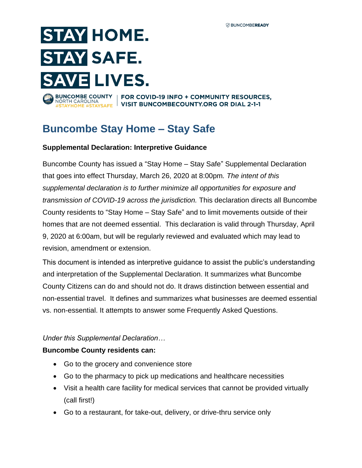# **STAY HOME. STAY SAFE. SAVE LIVES.** NORTH CAROLINA

BUNCOMBE COUNTY | FOR COVID-19 INFO + COMMUNITY RESOURCES, **CAROLINA**<br>OME #STAYSAFE IVISIT BUNCOMBECOUNTY.ORG OR DIAL 2-1-1

# **Buncombe Stay Home – Stay Safe**

#### **Supplemental Declaration: Interpretive Guidance**

Buncombe County has issued a "Stay Home – Stay Safe" Supplemental Declaration that goes into effect Thursday, March 26, 2020 at 8:00pm*. The intent of this supplemental declaration is to further minimize all opportunities for exposure and transmission of COVID-19 across the jurisdiction.* This declaration directs all Buncombe County residents to "Stay Home – Stay Safe" and to limit movements outside of their homes that are not deemed essential. This declaration is valid through Thursday, April 9, 2020 at 6:00am, but will be regularly reviewed and evaluated which may lead to revision, amendment or extension.

This document is intended as interpretive guidance to assist the public's understanding and interpretation of the Supplemental Declaration. It summarizes what Buncombe County Citizens can do and should not do. It draws distinction between essential and non-essential travel. It defines and summarizes what businesses are deemed essential vs. non-essential. It attempts to answer some Frequently Asked Questions.

#### *Under this Supplemental Declaration…*

#### **Buncombe County residents can:**

- Go to the grocery and convenience store
- Go to the pharmacy to pick up medications and healthcare necessities
- Visit a health care facility for medical services that cannot be provided virtually (call first!)
- Go to a restaurant, for take-out, delivery, or drive-thru service only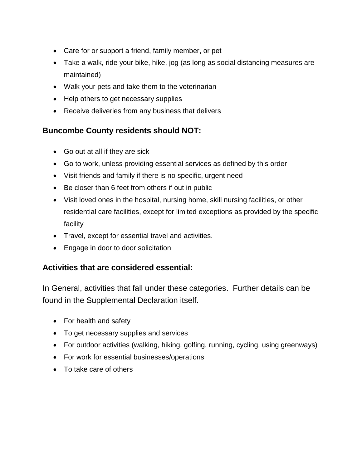- Care for or support a friend, family member, or pet
- Take a walk, ride your bike, hike, jog (as long as social distancing measures are maintained)
- Walk your pets and take them to the veterinarian
- Help others to get necessary supplies
- Receive deliveries from any business that delivers

## **Buncombe County residents should NOT:**

- Go out at all if they are sick
- Go to work, unless providing essential services as defined by this order
- Visit friends and family if there is no specific, urgent need
- Be closer than 6 feet from others if out in public
- Visit loved ones in the hospital, nursing home, skill nursing facilities, or other residential care facilities, except for limited exceptions as provided by the specific facility
- Travel, except for essential travel and activities.
- Engage in door to door solicitation

## **Activities that are considered essential:**

In General, activities that fall under these categories. Further details can be found in the Supplemental Declaration itself.

- For health and safety
- To get necessary supplies and services
- For outdoor activities (walking, hiking, golfing, running, cycling, using greenways)
- For work for essential businesses/operations
- To take care of others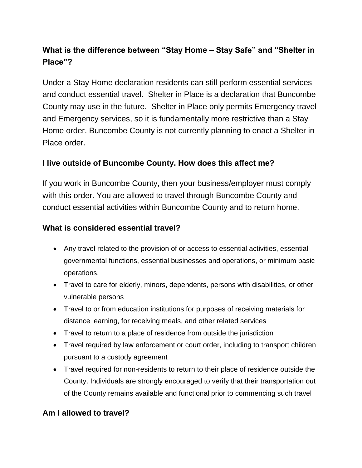## **What is the difference between "Stay Home – Stay Safe" and "Shelter in Place"?**

Under a Stay Home declaration residents can still perform essential services and conduct essential travel. Shelter in Place is a declaration that Buncombe County may use in the future. Shelter in Place only permits Emergency travel and Emergency services, so it is fundamentally more restrictive than a Stay Home order. Buncombe County is not currently planning to enact a Shelter in Place order.

## **I live outside of Buncombe County. How does this affect me?**

If you work in Buncombe County, then your business/employer must comply with this order. You are allowed to travel through Buncombe County and conduct essential activities within Buncombe County and to return home.

#### **What is considered essential travel?**

- Any travel related to the provision of or access to essential activities, essential governmental functions, essential businesses and operations, or minimum basic operations.
- Travel to care for elderly, minors, dependents, persons with disabilities, or other vulnerable persons
- Travel to or from education institutions for purposes of receiving materials for distance learning, for receiving meals, and other related services
- Travel to return to a place of residence from outside the jurisdiction
- Travel required by law enforcement or court order, including to transport children pursuant to a custody agreement
- Travel required for non-residents to return to their place of residence outside the County. Individuals are strongly encouraged to verify that their transportation out of the County remains available and functional prior to commencing such travel

## **Am I allowed to travel?**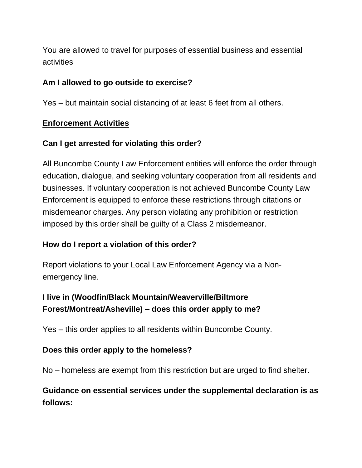You are allowed to travel for purposes of essential business and essential activities

## **Am I allowed to go outside to exercise?**

Yes – but maintain social distancing of at least 6 feet from all others.

## **Enforcement Activities**

## **Can I get arrested for violating this order?**

All Buncombe County Law Enforcement entities will enforce the order through education, dialogue, and seeking voluntary cooperation from all residents and businesses. If voluntary cooperation is not achieved Buncombe County Law Enforcement is equipped to enforce these restrictions through citations or misdemeanor charges. Any person violating any prohibition or restriction imposed by this order shall be guilty of a Class 2 misdemeanor.

## **How do I report a violation of this order?**

Report violations to your Local Law Enforcement Agency via a Nonemergency line.

## **I live in (Woodfin/Black Mountain/Weaverville/Biltmore Forest/Montreat/Asheville) – does this order apply to me?**

Yes – this order applies to all residents within Buncombe County.

#### **Does this order apply to the homeless?**

No – homeless are exempt from this restriction but are urged to find shelter.

## **Guidance on essential services under the supplemental declaration is as follows:**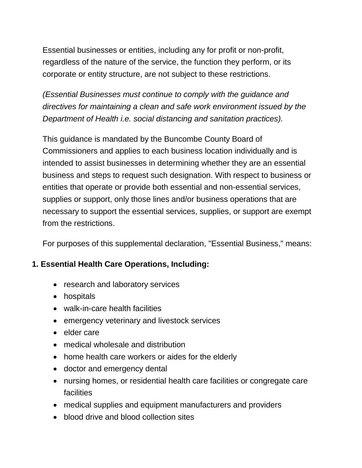Essential businesses or entities, including any for profit or non-profit, regardless of the nature of the service, the function they perform, or its corporate or entity structure, are not subject to these restrictions.

*(Essential Businesses must continue to comply with the guidance and directives for maintaining a clean and safe work environment issued by the Department of Health i.e. social distancing and sanitation practices).*

This guidance is mandated by the Buncombe County Board of Commissioners and applies to each business location individually and is intended to assist businesses in determining whether they are an essential business and steps to request such designation. With respect to business or entities that operate or provide both essential and non-essential services, supplies or support, only those lines and/or business operations that are necessary to support the essential services, supplies, or support are exempt from the restrictions.

For purposes of this supplemental declaration, "Essential Business," means:

## **1. Essential Health Care Operations, Including:**

- research and laboratory services
- hospitals
- walk-in-care health facilities
- emergency veterinary and livestock services
- elder care
- medical wholesale and distribution
- home health care workers or aides for the elderly
- doctor and emergency dental
- nursing homes, or residential health care facilities or congregate care facilities
- medical supplies and equipment manufacturers and providers
- blood drive and blood collection sites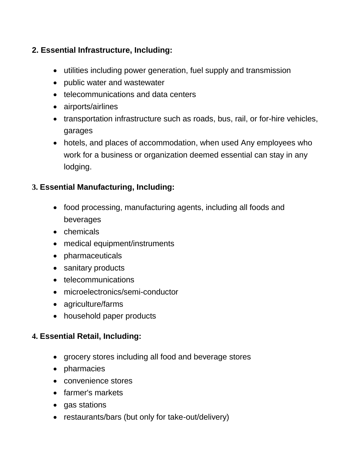## **2. Essential Infrastructure, Including:**

- utilities including power generation, fuel supply and transmission
- public water and wastewater
- telecommunications and data centers
- airports/airlines
- transportation infrastructure such as roads, bus, rail, or for-hire vehicles, garages
- hotels, and places of accommodation, when used Any employees who work for a business or organization deemed essential can stay in any lodging.

## **3. Essential Manufacturing, Including:**

- food processing, manufacturing agents, including all foods and beverages
- chemicals
- medical equipment/instruments
- pharmaceuticals
- sanitary products
- telecommunications
- microelectronics/semi-conductor
- agriculture/farms
- household paper products

#### **4. Essential Retail, Including:**

- grocery stores including all food and beverage stores
- pharmacies
- convenience stores
- farmer's markets
- gas stations
- restaurants/bars (but only for take-out/delivery)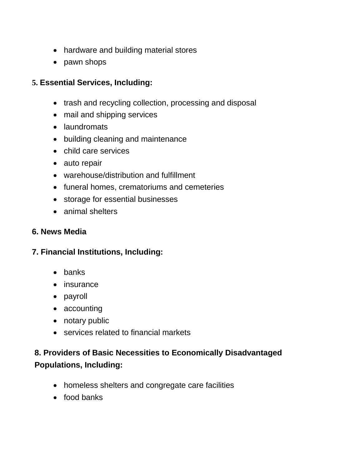- hardware and building material stores
- pawn shops

## **5. Essential Services, Including:**

- trash and recycling collection, processing and disposal
- mail and shipping services
- laundromats
- building cleaning and maintenance
- child care services
- auto repair
- warehouse/distribution and fulfillment
- funeral homes, crematoriums and cemeteries
- storage for essential businesses
- animal shelters

#### **6. News Media**

#### **7. Financial Institutions, Including:**

- banks
- insurance
- payroll
- accounting
- notary public
- services related to financial markets

## **8. Providers of Basic Necessities to Economically Disadvantaged Populations, Including:**

- homeless shelters and congregate care facilities
- food banks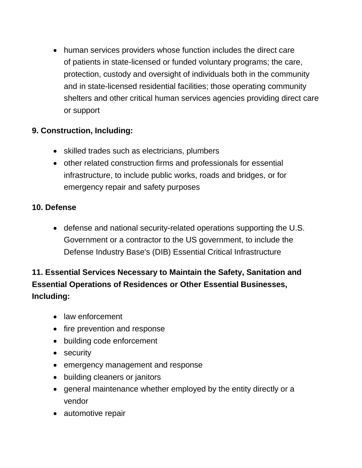human services providers whose function includes the direct care of patients in state-licensed or funded voluntary programs; the care, protection, custody and oversight of individuals both in the community and in state-licensed residential facilities; those operating community shelters and other critical human services agencies providing direct care or support

## **9. Construction, Including:**

- skilled trades such as electricians, plumbers
- other related construction firms and professionals for essential infrastructure, to include public works, roads and bridges, or for emergency repair and safety purposes

## **10. Defense**

 defense and national security-related operations supporting the U.S. Government or a contractor to the US government, to include the Defense Industry Base's (DIB) Essential Critical Infrastructure

# **11. Essential Services Necessary to Maintain the Safety, Sanitation and Essential Operations of Residences or Other Essential Businesses, Including:**

- law enforcement
- fire prevention and response
- building code enforcement
- security
- emergency management and response
- building cleaners or janitors
- general maintenance whether employed by the entity directly or a vendor
- automotive repair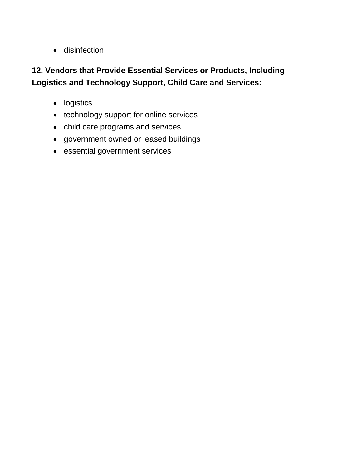**•** disinfection

## **12. Vendors that Provide Essential Services or Products, Including Logistics and Technology Support, Child Care and Services:**

- logistics
- technology support for online services
- child care programs and services
- government owned or leased buildings
- essential government services